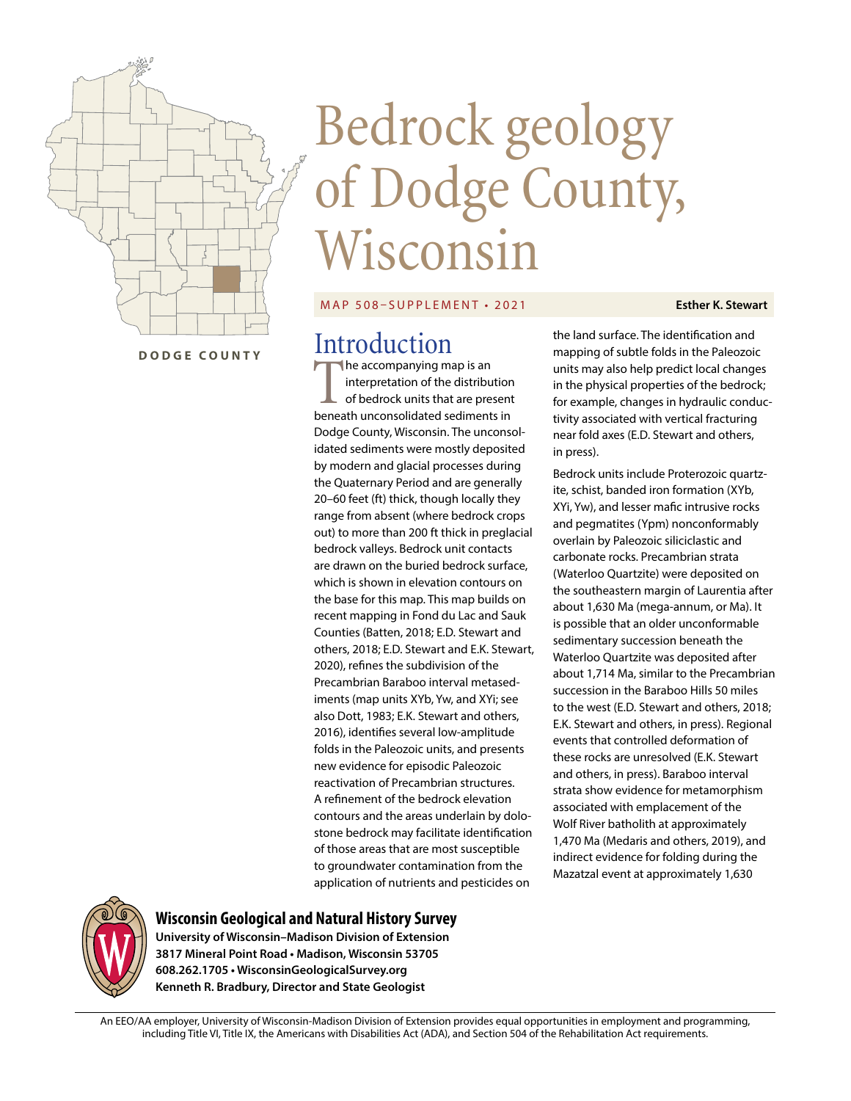

# Bedrock geology of Dodge County, Wisconsin

#### MAP 508–SUPPLEMENT • 2021

The accompanying map is an interpretation of the distribution of bedrock units that are present beneath unconsolidated sediments in Dodge County, Wisconsin. The unconsolidated sediments were mostly deposited by modern and glacial processes during the Quaternary Period and are generally 20–60 feet (ft) thick, though locally they range from absent (where bedrock crops out) to more than 200 ft thick in preglacial bedrock valleys. Bedrock unit contacts are drawn on the buried bedrock surface, which is shown in elevation contours on the base for this map. This map builds on recent mapping in Fond du Lac and Sauk Counties (Batten, 2018; E.D. Stewart and others, 2018; E.D. Stewart and E.K. Stewart, 2020), refines the subdivision of the Precambrian Baraboo interval metasediments (map units XYb, Yw, and XYi; see also Dott, 1983; E.K. Stewart and others, 2016), identifies several low-amplitude folds in the Paleozoic units, and presents new evidence for episodic Paleozoic reactivation of Precambrian structures. A refinement of the bedrock elevation contours and the areas underlain by dolostone bedrock may facilitate identification of those areas that are most susceptible to groundwater contamination from the application of nutrients and pesticides on

the land surface. The identification and mapping of subtle folds in the Paleozoic units may also help predict local changes in the physical properties of the bedrock; for example, changes in hydraulic conductivity associated with vertical fracturing near fold axes (E.D. Stewart and others,

in press).

**Esther K. Stewart**

Bedrock units include Proterozoic quartzite, schist, banded iron formation (XYb, XYi, Yw), and lesser mafic intrusive rocks and pegmatites (Ypm) nonconformably overlain by Paleozoic siliciclastic and carbonate rocks. Precambrian strata (Waterloo Quartzite) were deposited on the southeastern margin of Laurentia after about 1,630 Ma (mega-annum, or Ma). It is possible that an older unconformable sedimentary succession beneath the Waterloo Quartzite was deposited after about 1,714 Ma, similar to the Precambrian succession in the Baraboo Hills 50 miles to the west (E.D. Stewart and others, 2018; E.K. Stewart and others, in press). Regional events that controlled deformation of these rocks are unresolved (E.K. Stewart and others, in press). Baraboo interval strata show evidence for metamorphism associated with emplacement of the Wolf River batholith at approximately 1,470 Ma (Medaris and others, 2019), and indirect evidence for folding during the Mazatzal event at approximately 1,630



#### **Wisconsin Geological and Natural History Survey**

**University of Wisconsin–Madison Division of Extension 3817 Mineral Point Road • Madison, Wisconsin 53705 608.262.1705 • WisconsinGeologicalSurvey.org Kenneth R. Bradbury, Director and State Geologist**

An EEO/AA employer, University of Wisconsin-Madison Division of Extension provides equal opportunities in employment and programming, including Title VI, Title IX, the Americans with Disabilities Act (ADA), and Section 504 of the Rehabilitation Act requirements.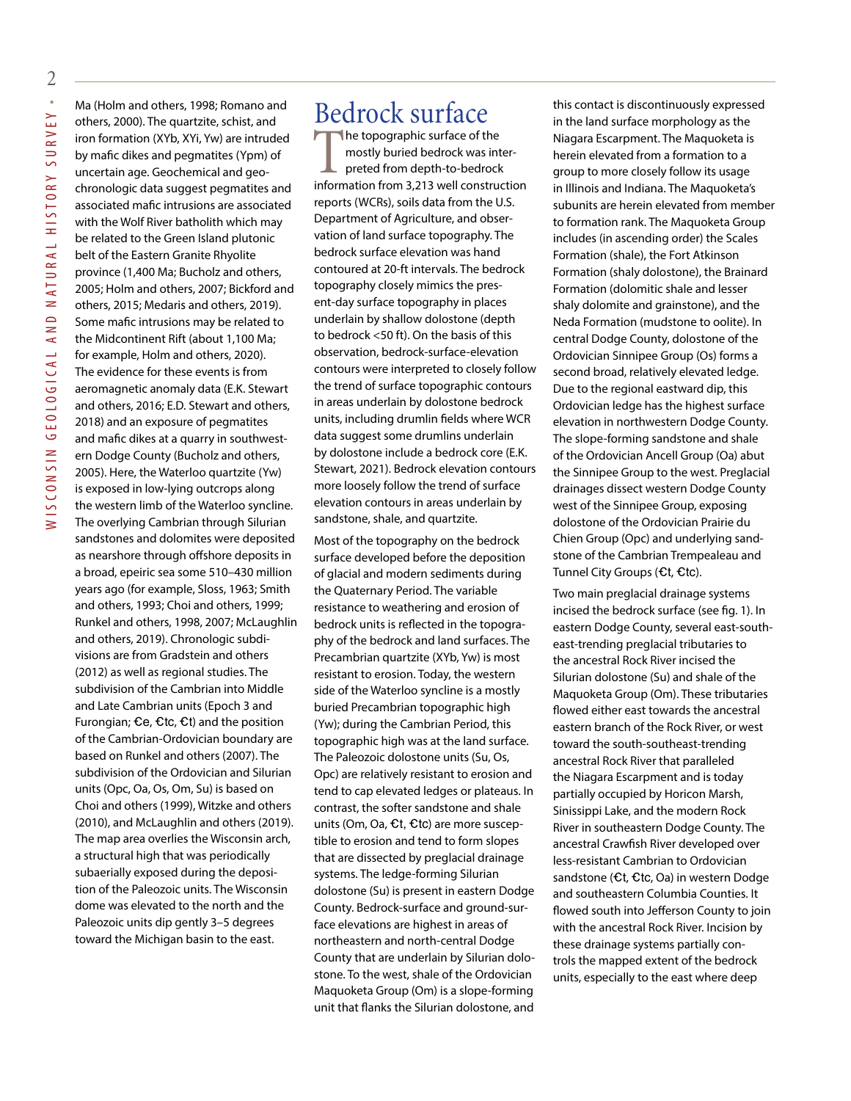Ma (Holm and others, 1998; Romano and others, 2000). The quartzite, schist, and iron formation (XYb, XYi, Yw) are intruded by mafic dikes and pegmatites (Ypm) of uncertain age. Geochemical and geochronologic data suggest pegmatites and associated mafic intrusions are associated with the Wolf River batholith which may be related to the Green Island plutonic belt of the Eastern Granite Rhyolite province (1,400 Ma; Bucholz and others, 2005; Holm and others, 2007; Bickford and others, 2015; Medaris and others, 2019). Some mafic intrusions may be related to the Midcontinent Rift (about 1,100 Ma; for example, Holm and others, 2020). The evidence for these events is from aeromagnetic anomaly data (E.K. Stewart and others, 2016; E.D. Stewart and others, 2018) and an exposure of pegmatites and mafic dikes at a quarry in southwestern Dodge County (Bucholz and others, 2005). Here, the Waterloo quartzite (Yw) is exposed in low-lying outcrops along the western limb of the Waterloo syncline. The overlying Cambrian through Silurian sandstones and dolomites were deposited as nearshore through offshore deposits in a broad, epeiric sea some 510–430 million years ago (for example, Sloss, 1963; Smith and others, 1993; Choi and others, 1999; Runkel and others, 1998, 2007; McLaughlin and others, 2019). Chronologic subdivisions are from Gradstein and others (2012) as well as regional studies. The subdivision of the Cambrian into Middle and Late Cambrian units (Epoch 3 and Furongian;  $\mathbf{C}e$ ,  $\mathbf{C}t$ ,  $\mathbf{C}t$ ) and the position of the Cambrian-Ordovician boundary are based on Runkel and others (2007). The subdivision of the Ordovician and Silurian units (Opc, Oa, Os, Om, Su) is based on Choi and others (1999), Witzke and others (2010), and McLaughlin and others (2019). The map area overlies the Wisconsin arch, a structural high that was periodically subaerially exposed during the deposition of the Paleozoic units. The Wisconsin dome was elevated to the north and the Paleozoic units dip gently 3–5 degrees toward the Michigan basin to the east.

## Bedrock surface

The topographic surface of the<br>mostly buried bedrock was interpreted from depth-to-bedrock<br>information from 3.213 well construct mostly buried bedrock was interpreted from depth-to-bedrock information from 3,213 well construction reports (WCRs), soils data from the U.S. Department of Agriculture, and observation of land surface topography. The bedrock surface elevation was hand contoured at 20-ft intervals. The bedrock topography closely mimics the present-day surface topography in places underlain by shallow dolostone (depth to bedrock <50 ft). On the basis of this observation, bedrock-surface-elevation contours were interpreted to closely follow the trend of surface topographic contours in areas underlain by dolostone bedrock units, including drumlin fields where WCR data suggest some drumlins underlain by dolostone include a bedrock core (E.K. Stewart, 2021). Bedrock elevation contours more loosely follow the trend of surface elevation contours in areas underlain by sandstone, shale, and quartzite.

Most of the topography on the bedrock surface developed before the deposition of glacial and modern sediments during the Quaternary Period. The variable resistance to weathering and erosion of bedrock units is reflected in the topography of the bedrock and land surfaces. The Precambrian quartzite (XYb, Yw) is most resistant to erosion. Today, the western side of the Waterloo syncline is a mostly buried Precambrian topographic high (Yw); during the Cambrian Period, this topographic high was at the land surface. The Paleozoic dolostone units (Su, Os, Opc) are relatively resistant to erosion and tend to cap elevated ledges or plateaus. In contrast, the softer sandstone and shale units (Om, Oa,  $Ct$ ,  $Ctc$ ) are more susceptible to erosion and tend to form slopes that are dissected by preglacial drainage systems. The ledge-forming Silurian dolostone (Su) is present in eastern Dodge County. Bedrock-surface and ground-surface elevations are highest in areas of northeastern and north-central Dodge County that are underlain by Silurian dolostone. To the west, shale of the Ordovician Maquoketa Group (Om) is a slope-forming unit that flanks the Silurian dolostone, and this contact is discontinuously expressed in the land surface morphology as the Niagara Escarpment. The Maquoketa is herein elevated from a formation to a group to more closely follow its usage in Illinois and Indiana. The Maquoketa's subunits are herein elevated from member to formation rank. The Maquoketa Group includes (in ascending order) the Scales Formation (shale), the Fort Atkinson Formation (shaly dolostone), the Brainard Formation (dolomitic shale and lesser shaly dolomite and grainstone), and the Neda Formation (mudstone to oolite). In central Dodge County, dolostone of the Ordovician Sinnipee Group (Os) forms a second broad, relatively elevated ledge. Due to the regional eastward dip, this Ordovician ledge has the highest surface elevation in northwestern Dodge County. The slope-forming sandstone and shale of the Ordovician Ancell Group (Oa) abut the Sinnipee Group to the west. Preglacial drainages dissect western Dodge County west of the Sinnipee Group, exposing dolostone of the Ordovician Prairie du Chien Group (Opc) and underlying sandstone of the Cambrian Trempealeau and Tunnel City Groups ( $Ct$ ,  $Ctc$ ).

Two main preglacial drainage systems incised the bedrock surface (see fig. 1). In eastern Dodge County, several east-southeast-trending preglacial tributaries to the ancestral Rock River incised the Silurian dolostone (Su) and shale of the Maquoketa Group (Om). These tributaries flowed either east towards the ancestral eastern branch of the Rock River, or west toward the south-southeast-trending ancestral Rock River that paralleled the Niagara Escarpment and is today partially occupied by Horicon Marsh, Sinissippi Lake, and the modern Rock River in southeastern Dodge County. The ancestral Crawfish River developed over less-resistant Cambrian to Ordovician sandstone (Ct, Ctc, Oa) in western Dodge and southeastern Columbia Counties. It flowed south into Jefferson County to join with the ancestral Rock River. Incision by these drainage systems partially controls the mapped extent of the bedrock units, especially to the east where deep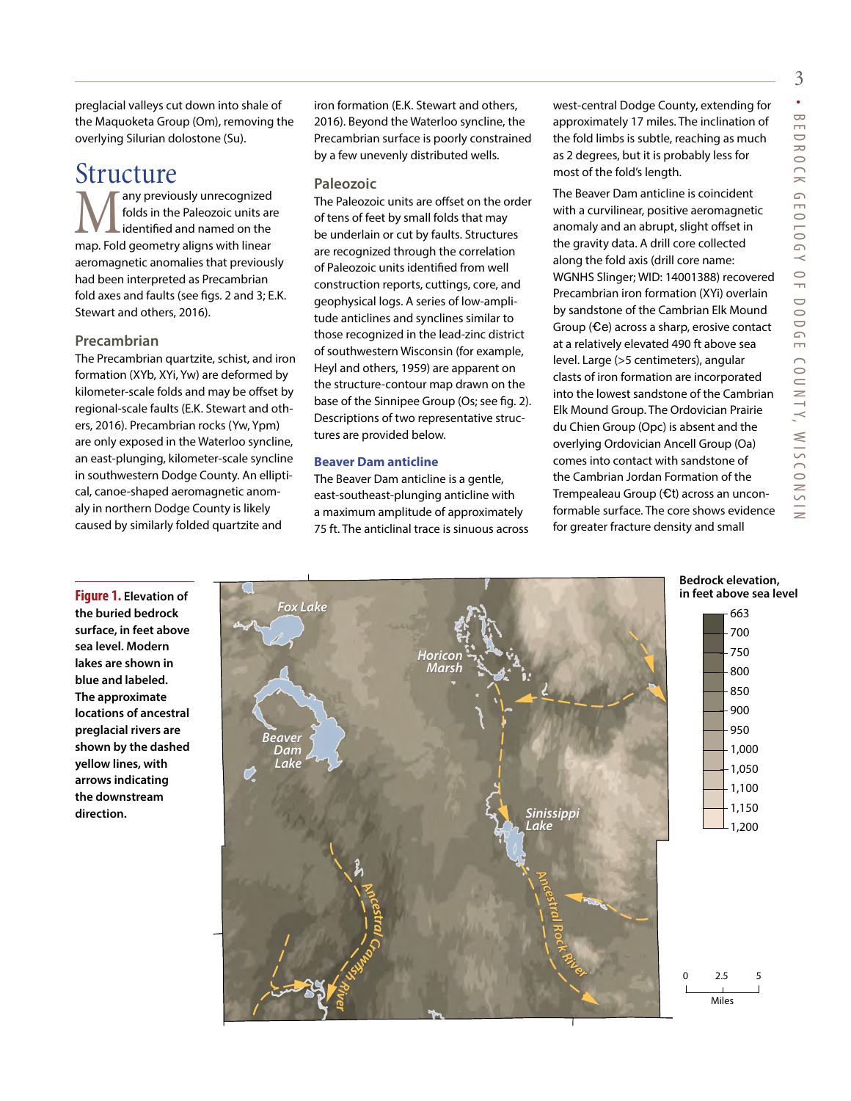preglacial valleys cut down into shale of the Maquoketa Group (Om), removing the overlying Silurian dolostone (Su).

### Structure

any previously unrecognized folds in the Paleozoic units are identified and named on the map. Fold geometry aligns with linear aeromagnetic anomalies that previously had been interpreted as Precambrian fold axes and faults (see figs. 2 and 3; E.K. Stewart and others, 2016).

#### **Precambrian**

**the buried bedrock** 

**sea level. Modern lakes are shown in blue and labeled. The approximate** 

**preglacial rivers are** 

**yellow lines, with arrows indicating the downstream direction.** 

The Precambrian quartzite, schist, and iron formation (XYb, XYi, Yw) are deformed by kilometer-scale folds and may be offset by regional-scale faults (E.K. Stewart and others, 2016). Precambrian rocks (Yw, Ypm) are only exposed in the Waterloo syncline, an east-plunging, kilometer-scale syncline in southwestern Dodge County. An elliptical, canoe-shaped aeromagnetic anomaly in northern Dodge County is likely caused by similarly folded quartzite and

iron formation (E.K. Stewart and others, 2016). Beyond the Waterloo syncline, the Precambrian surface is poorly constrained by a few unevenly distributed wells.

#### **Paleozoic**

The Paleozoic units are offset on the order of tens of feet by small folds that may be underlain or cut by faults. Structures are recognized through the correlation of Paleozoic units identified from well construction reports, cuttings, core, and geophysical logs. A series of low-amplitude anticlines and synclines similar to those recognized in the lead-zinc district of southwestern Wisconsin (for example, Heyl and others, 1959) are apparent on the structure-contour map drawn on the base of the Sinnipee Group (Os; see fig. 2). Descriptions of two representative structures are provided below.

#### **Beaver Dam anticline**

The Beaver Dam anticline is a gentle, east-southeast-plunging anticline with a maximum amplitude of approximately 75 ft. The anticlinal trace is sinuous across west-central Dodge County, extending for approximately 17 miles. The inclination of the fold limbs is subtle, reaching as much as 2 degrees, but it is probably less for most of the fold's length.

The Beaver Dam anticline is coincident with a curvilinear, positive aeromagnetic anomaly and an abrupt, slight offset in the gravity data. A drill core collected along the fold axis (drill core name: WGNHS Slinger; WID: 14001388) recovered Precambrian iron formation (XYi) overlain by sandstone of the Cambrian Elk Mound Group ( $Ce$ ) across a sharp, erosive contact at a relatively elevated 490 ft above sea level. Large (>5 centimeters), angular clasts of iron formation are incorporated into the lowest sandstone of the Cambrian Elk Mound Group. The Ordovician Prairie du Chien Group (Opc) is absent and the overlying Ordovician Ancell Group (Oa) comes into contact with sandstone of the Cambrian Jordan Formation of the Trempealeau Group  $(Et)$  across an unconformable surface. The core shows evidence for greater fracture density and small

#### **Bedrock elevation, in feet above sea level**

**Figure 1. Elevation of surface, in feet above locations of ancestral shown by the dashed**  663 700 750 800 850 900 950 1,000 1,050 1,100 1,150 1,200 Miles  $2.5 - 5$ *Beaver Dam Lake Fox Lake Horicon Marsh Sinissippi Lake Ancestral* **C**<br>*C*<sub>*K*</sub><br>*R*<sup>i</sup><br>*R*<sup>i</sup> *r Ancestral Rock River*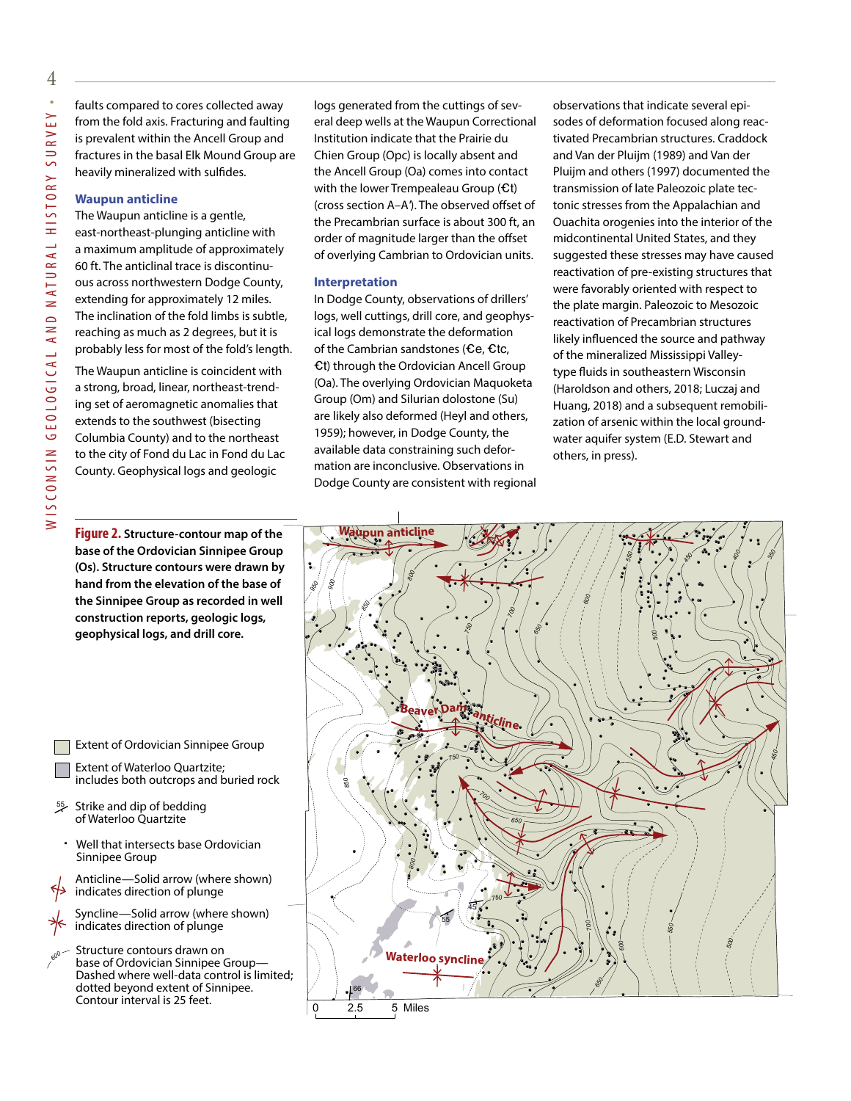faults compared to cores collected away from the fold axis. Fracturing and faulting is prevalent within the Ancell Group and fractures in the basal Elk Mound Group are heavily mineralized with sulfides.

#### **Waupun anticline**

The Waupun anticline is a gentle, east-northeast-plunging anticline with a maximum amplitude of approximately 60 ft. The anticlinal trace is discontinuous across northwestern Dodge County, extending for approximately 12 miles. The inclination of the fold limbs is subtle, reaching as much as 2 degrees, but it is probably less for most of the fold's length.

The Waupun anticline is coincident with a strong, broad, linear, northeast-trending set of aeromagnetic anomalies that extends to the southwest (bisecting Columbia County) and to the northeast to the city of Fond du Lac in Fond du Lac County. Geophysical logs and geologic

logs generated from the cuttings of several deep wells at the Waupun Correctional Institution indicate that the Prairie du Chien Group (Opc) is locally absent and the Ancell Group (Oa) comes into contact with the lower Trempealeau Group  $f(t)$ (cross section A–A*'*). The observed offset of the Precambrian surface is about 300 ft, an order of magnitude larger than the offset of overlying Cambrian to Ordovician units.

#### **Interpretation**

In Dodge County, observations of drillers' logs, well cuttings, drill core, and geophysical logs demonstrate the deformation of the Cambrian sandstones ( $\mathbf{\hat{c}}$ e,  $\mathbf{\hat{c}}$ tc,  $-t$ ) through the Ordovician Ancell Group (Oa). The overlying Ordovician Maquoketa Group (Om) and Silurian dolostone (Su) are likely also deformed (Heyl and others, 1959); however, in Dodge County, the available data constraining such deformation are inconclusive. Observations in Dodge County are consistent with regional observations that indicate several episodes of deformation focused along reactivated Precambrian structures. Craddock and Van der Pluijm (1989) and Van der Pluijm and others (1997) documented the transmission of late Paleozoic plate tectonic stresses from the Appalachian and Ouachita orogenies into the interior of the midcontinental United States, and they suggested these stresses may have caused reactivation of pre-existing structures that were favorably oriented with respect to the plate margin. Paleozoic to Mesozoic reactivation of Precambrian structures likely influenced the source and pathway of the mineralized Mississippi Valleytype fluids in southeastern Wisconsin (Haroldson and others, 2018; Luczaj and Huang, 2018) and a subsequent remobilization of arsenic within the local groundwater aquifer system (E.D. Stewart and others, in press).

**Figure 2. Structure-contour map of the base of the Ordovician Sinnipee Group (Os). Structure contours were drawn by hand from the elevation of the base of the Sinnipee Group as recorded in well construction reports, geologic logs, geophysical logs, and drill core.**

Extent of Ordovician Sinnipee Group

- Extent of Waterloo Quartzite; includes both outcrops and buried rock
- Strike and dip of bedding of Waterloo Quartzite 55
- Well that intersects base Ordovician Sinnipee Group

Anticline—Solid arrow (where shown) indicates direction of plunge

Syncline—Solid arrow (where shown) indicates direction of plunge

Structure contours drawn on base of Ordovician Sinnipee Group— Dashed where well-data control is limited; dotted beyond extent of Sinnipee. Contour interval is 25 feet. *600*

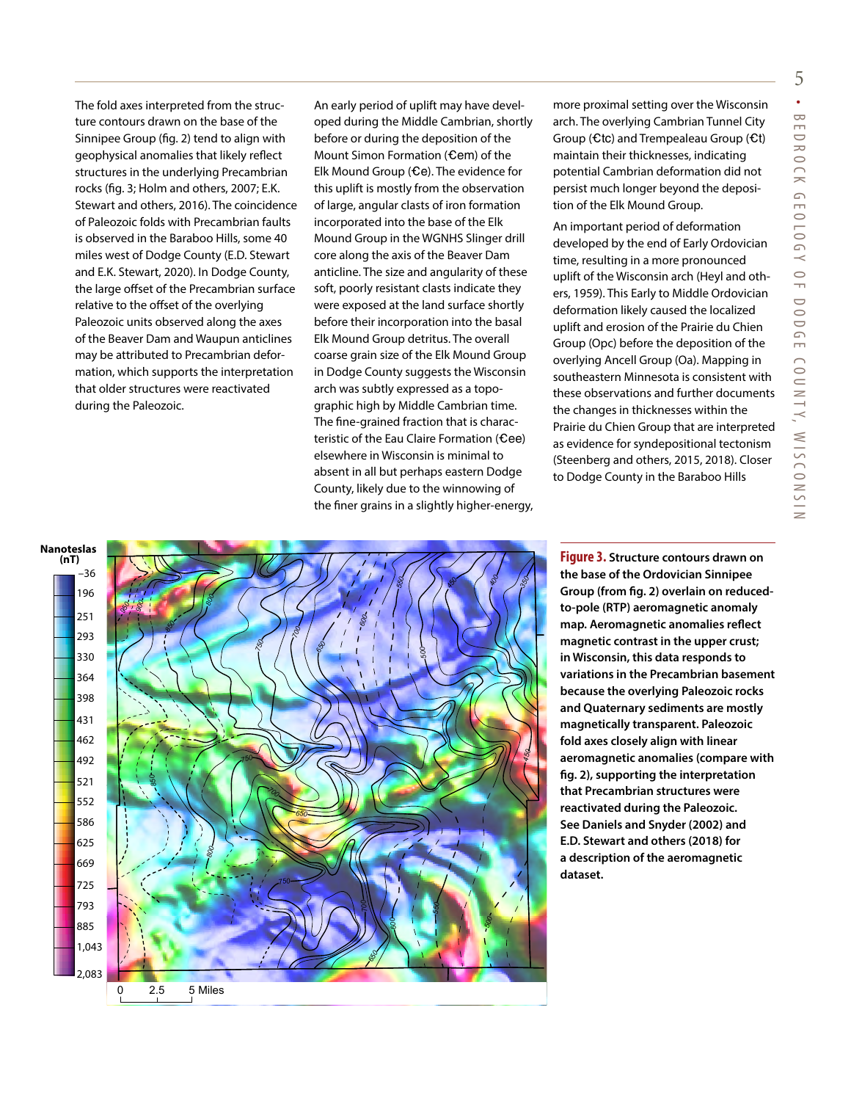The fold axes interpreted from the structure contours drawn on the base of the Sinnipee Group (fig. 2) tend to align with geophysical anomalies that likely reflect structures in the underlying Precambrian rocks (fig. 3; Holm and others, 2007; E.K. Stewart and others, 2016). The coincidence of Paleozoic folds with Precambrian faults is observed in the Baraboo Hills, some 40 miles west of Dodge County (E.D. Stewart and E.K. Stewart, 2020). In Dodge County, the large offset of the Precambrian surface relative to the offset of the overlying Paleozoic units observed along the axes of the Beaver Dam and Waupun anticlines may be attributed to Precambrian deformation, which supports the interpretation that older structures were reactivated during the Paleozoic.

An early period of uplift may have developed during the Middle Cambrian, shortly before or during the deposition of the Mount Simon Formation ( $\mathbf{Cem}$ ) of the Elk Mound Group ( $\epsilon$ e). The evidence for this uplift is mostly from the observation of large, angular clasts of iron formation incorporated into the base of the Elk Mound Group in the WGNHS Slinger drill core along the axis of the Beaver Dam anticline. The size and angularity of these soft, poorly resistant clasts indicate they were exposed at the land surface shortly before their incorporation into the basal Elk Mound Group detritus. The overall coarse grain size of the Elk Mound Group in Dodge County suggests the Wisconsin arch was subtly expressed as a topographic high by Middle Cambrian time. The fine-grained fraction that is characteristic of the Eau Claire Formation  $(Cee)$ elsewhere in Wisconsin is minimal to absent in all but perhaps eastern Dodge County, likely due to the winnowing of the finer grains in a slightly higher-energy,

more proximal setting over the Wisconsin arch. The overlying Cambrian Tunnel City Group ( $C$ tc) and Trempealeau Group ( $C$ t) maintain their thicknesses, indicating potential Cambrian deformation did not persist much longer beyond the deposition of the Elk Mound Group.

An important period of deformation developed by the end of Early Ordovician time, resulting in a more pronounced uplift of the Wisconsin arch (Heyl and others, 1959). This Early to Middle Ordovician deformation likely caused the localized uplift and erosion of the Prairie du Chien Group (Opc) before the deposition of the overlying Ancell Group (Oa). Mapping in southeastern Minnesota is consistent with these observations and further documents the changes in thicknesses within the Prairie du Chien Group that are interpreted as evidence for syndepositional tectonism (Steenberg and others, 2015, 2018). Closer to Dodge County in the Baraboo Hills



**Figure 3.** Structure contours drawn on **the base of the Ordovician Sinnipee**  –36 **Group (from fig. 2) overlain on reduced-**196 **to-pole (RTP) aeromagnetic anomaly map. Aeromagnetic anomalies reflect**  251 **magnetic contrast in the upper crust;**  330 **in Wisconsin, this data responds to**  364 **variations in the Precambrian basement**  398 **because the overlying Paleozoic rocks**  431 **and Quaternary sediments are mostly**  462 **magnetically transparent. Paleozoic**  492 **fold axes closely align with linear**  521 **aeromagnetic anomalies (compare with**  552 **fig. 2), supporting the interpretation**  586 **that Precambrian structures were**  625 **reactivated during the Paleozoic.**  669 **See Daniels and Snyder (2002) and**  725 **E.D. Stewart and others (2018) for**  793 **a description of the aeromagnetic**  885 dataset. <u>293</u> **(nT)**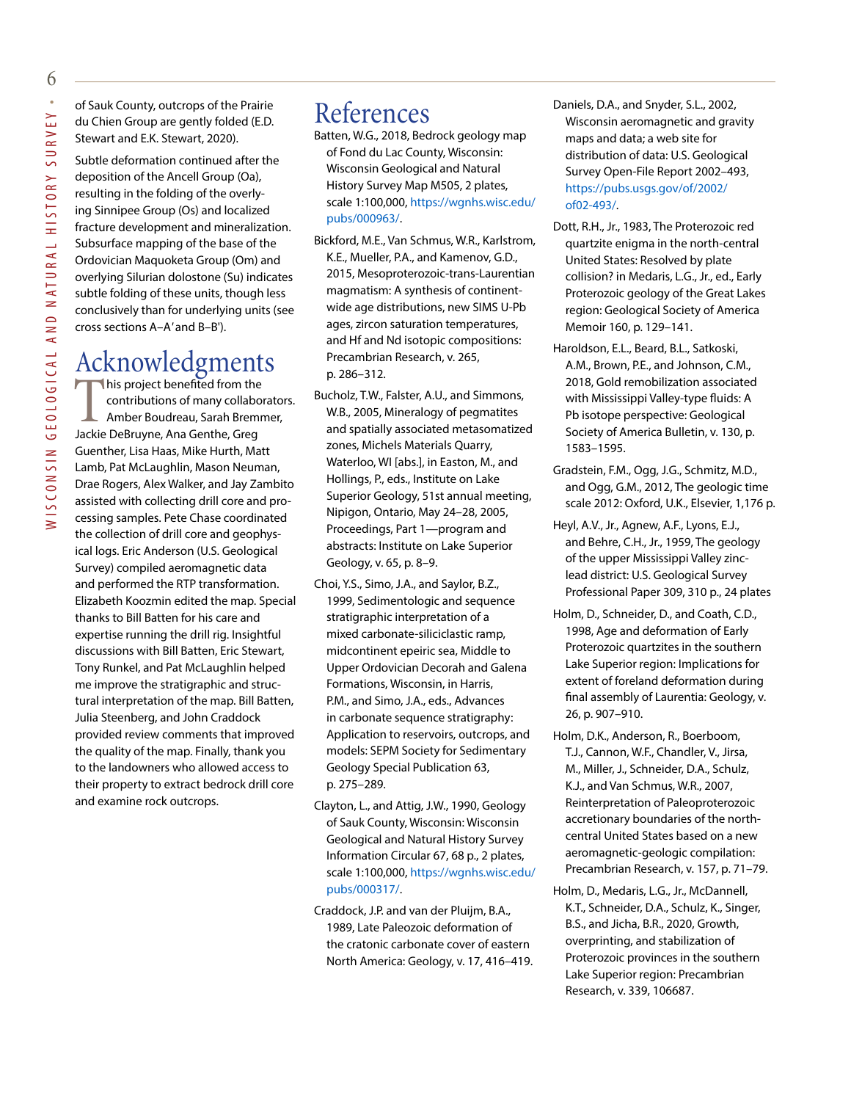of Sauk County, outcrops of the Prairie du Chien Group are gently folded (E.D. Stewart and E.K. Stewart, 2020).

Subtle deformation continued after the deposition of the Ancell Group (Oa), resulting in the folding of the overlying Sinnipee Group (Os) and localized fracture development and mineralization. Subsurface mapping of the base of the Ordovician Maquoketa Group (Om) and overlying Silurian dolostone (Su) indicates subtle folding of these units, though less conclusively than for underlying units (see cross sections A–A*'* and B–B').

## Acknowledgments

This project benefited from the<br>contributions of many collabor<br>Amber Boudreau, Sarah Bremr<br>lackie DeBruyne, Ana Genthe, Greg contributions of many collaborators. Amber Boudreau, Sarah Bremmer, Jackie DeBruyne, Ana Genthe, Greg Guenther, Lisa Haas, Mike Hurth, Matt Lamb, Pat McLaughlin, Mason Neuman, Drae Rogers, Alex Walker, and Jay Zambito assisted with collecting drill core and processing samples. Pete Chase coordinated the collection of drill core and geophysical logs. Eric Anderson (U.S. Geological Survey) compiled aeromagnetic data and performed the RTP transformation. Elizabeth Koozmin edited the map. Special thanks to Bill Batten for his care and expertise running the drill rig. Insightful discussions with Bill Batten, Eric Stewart, Tony Runkel, and Pat McLaughlin helped me improve the stratigraphic and structural interpretation of the map. Bill Batten, Julia Steenberg, and John Craddock provided review comments that improved the quality of the map. Finally, thank you to the landowners who allowed access to their property to extract bedrock drill core and examine rock outcrops.

## References

- Batten, W.G., 2018, Bedrock geology map of Fond du Lac County, Wisconsin: Wisconsin Geological and Natural History Survey Map M505, 2 plates, scale 1:100,000, [https://wgnhs.wisc.edu/](https://wgnhs.wisc.edu/pubs/000963/) [pubs/000963/.](https://wgnhs.wisc.edu/pubs/000963/)
- Bickford, M.E., Van Schmus, W.R., Karlstrom, K.E., Mueller, P.A., and Kamenov, G.D., 2015, Mesoproterozoic-trans-Laurentian magmatism: A synthesis of continentwide age distributions, new SIMS U-Pb ages, zircon saturation temperatures, and Hf and Nd isotopic compositions: Precambrian Research, v. 265, p. 286–312.
- Bucholz, T.W., Falster, A.U., and Simmons, W.B., 2005, Mineralogy of pegmatites and spatially associated metasomatized zones, Michels Materials Quarry, Waterloo, WI [abs.], in Easton, M., and Hollings, P., eds., Institute on Lake Superior Geology, 51st annual meeting, Nipigon, Ontario, May 24–28, 2005, Proceedings, Part 1—program and abstracts: Institute on Lake Superior Geology, v. 65, p. 8–9.
- Choi, Y.S., Simo, J.A., and Saylor, B.Z., 1999, Sedimentologic and sequence stratigraphic interpretation of a mixed carbonate-siliciclastic ramp, midcontinent epeiric sea, Middle to Upper Ordovician Decorah and Galena Formations, Wisconsin, in Harris, P.M., and Simo, J.A., eds., Advances in carbonate sequence stratigraphy: Application to reservoirs, outcrops, and models: SEPM Society for Sedimentary Geology Special Publication 63, p. 275–289.
- Clayton, L., and Attig, J.W., 1990, Geology of Sauk County, Wisconsin: Wisconsin Geological and Natural History Survey Information Circular 67, 68 p., 2 plates, scale 1:100,000, https://wgnhs.wisc.edu/ pubs/000317/.
- Craddock, J.P. and van der Pluijm, B.A., 1989, Late Paleozoic deformation of the cratonic carbonate cover of eastern North America: Geology, v. 17, 416–419.
- Daniels, D.A., and Snyder, S.L., 2002, Wisconsin aeromagnetic and gravity maps and data; a web site for distribution of data: U.S. Geological Survey Open-File Report 2002–493, https://pubs.usgs.gov/of/2002/ of02-493/.
- Dott, R.H., Jr., 1983, The Proterozoic red quartzite enigma in the north-central United States: Resolved by plate collision? in Medaris, L.G., Jr., ed., Early Proterozoic geology of the Great Lakes region: Geological Society of America Memoir 160, p. 129–141.
- Haroldson, E.L., Beard, B.L., Satkoski, A.M., Brown, P.E., and Johnson, C.M., 2018, Gold remobilization associated with Mississippi Valley-type fluids: A Pb isotope perspective: Geological Society of America Bulletin, v. 130, p. 1583–1595.
- Gradstein, F.M., Ogg, J.G., Schmitz, M.D., and Ogg, G.M., 2012, The geologic time scale 2012: Oxford, U.K., Elsevier, 1,176 p.
- Heyl, A.V., Jr., Agnew, A.F., Lyons, E.J., and Behre, C.H., Jr., 1959, The geology of the upper Mississippi Valley zinclead district: U.S. Geological Survey Professional Paper 309, 310 p., 24 plates
- Holm, D., Schneider, D., and Coath, C.D., 1998, Age and deformation of Early Proterozoic quartzites in the southern Lake Superior region: Implications for extent of foreland deformation during final assembly of Laurentia: Geology, v. 26, p. 907–910.
- Holm, D.K., Anderson, R., Boerboom, T.J., Cannon, W.F., Chandler, V., Jirsa, M., Miller, J., Schneider, D.A., Schulz, K.J., and Van Schmus, W.R., 2007, Reinterpretation of Paleoproterozoic accretionary boundaries of the northcentral United States based on a new aeromagnetic-geologic compilation: Precambrian Research, v. 157, p. 71–79.
- Holm, D., Medaris, L.G., Jr., McDannell, K.T., Schneider, D.A., Schulz, K., Singer, B.S., and Jicha, B.R., 2020, Growth, overprinting, and stabilization of Proterozoic provinces in the southern Lake Superior region: Precambrian Research, v. 339, 106687.